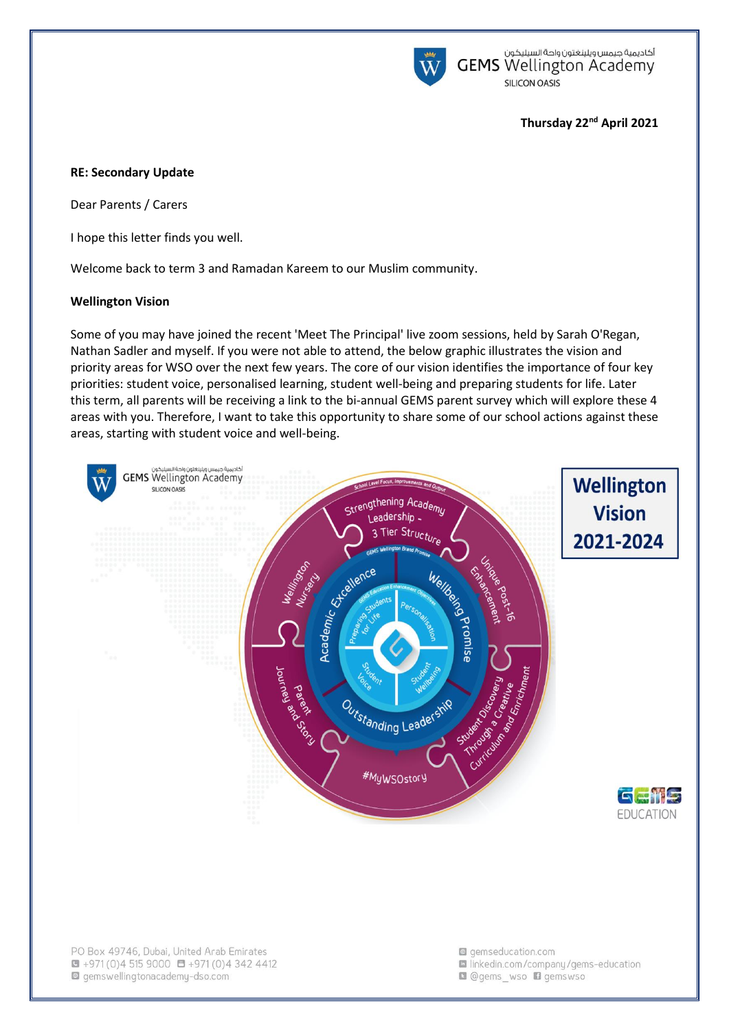

أكاديمية جيمس ويلينغتون واحة السيليكون<br>GEMS Wellington Academy **SILICON OASIS** 

### **Thursday 22nd April 2021**

#### **RE: Secondary Update**

Dear Parents / Carers

I hope this letter finds you well.

Welcome back to term 3 and Ramadan Kareem to our Muslim community.

#### **Wellington Vision**

Some of you may have joined the recent 'Meet The Principal' live zoom sessions, held by Sarah O'Regan, Nathan Sadler and myself. If you were not able to attend, the below graphic illustrates the vision and priority areas for WSO over the next few years. The core of our vision identifies the importance of four key priorities: student voice, personalised learning, student well-being and preparing students for life. Later this term, all parents will be receiving a link to the bi-annual GEMS parent survey which will explore these 4 areas with you. Therefore, I want to take this opportunity to share some of our school actions against these areas, starting with student voice and well-being.

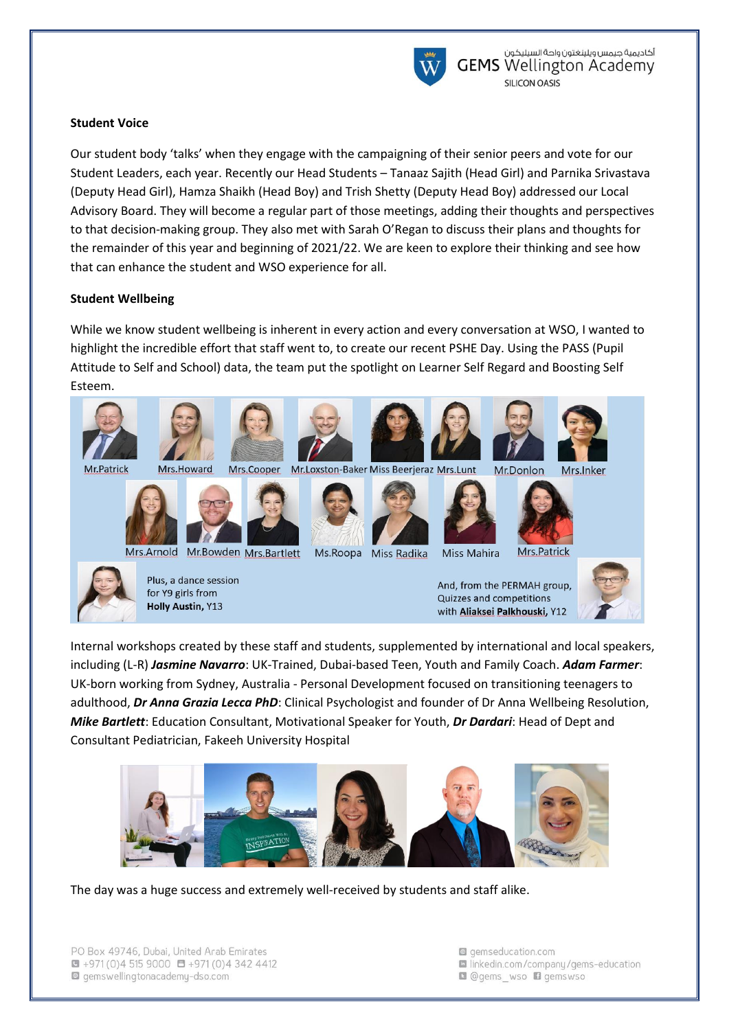

## **Student Voice**

Our student body 'talks' when they engage with the campaigning of their senior peers and vote for our Student Leaders, each year. Recently our Head Students – Tanaaz Sajith (Head Girl) and Parnika Srivastava (Deputy Head Girl), Hamza Shaikh (Head Boy) and Trish Shetty (Deputy Head Boy) addressed our Local Advisory Board. They will become a regular part of those meetings, adding their thoughts and perspectives to that decision-making group. They also met with Sarah O'Regan to discuss their plans and thoughts for the remainder of this year and beginning of 2021/22. We are keen to explore their thinking and see how that can enhance the student and WSO experience for all.

## **Student Wellbeing**

While we know student wellbeing is inherent in every action and every conversation at WSO, I wanted to highlight the incredible effort that staff went to, to create our recent PSHE Day. Using the PASS (Pupil Attitude to Self and School) data, the team put the spotlight on Learner Self Regard and Boosting Self Esteem.



Internal workshops created by these staff and students, supplemented by international and local speakers, including (L-R) *Jasmine Navarro*: UK-Trained, Dubai-based Teen, Youth and Family Coach. *Adam Farmer*: UK-born working from Sydney, Australia - Personal Development focused on transitioning teenagers to adulthood, *Dr Anna Grazia Lecca PhD*: Clinical Psychologist and founder of Dr Anna Wellbeing Resolution, *Mike Bartlett*: Education Consultant, Motivational Speaker for Youth, *Dr Dardari*: Head of Dept and Consultant Pediatrician, Fakeeh University Hospital



The day was a huge success and extremely well-received by students and staff alike.

g gemseducation.com la linkedin.com/company/gems-education **Q** @gems wso **Q** gemswso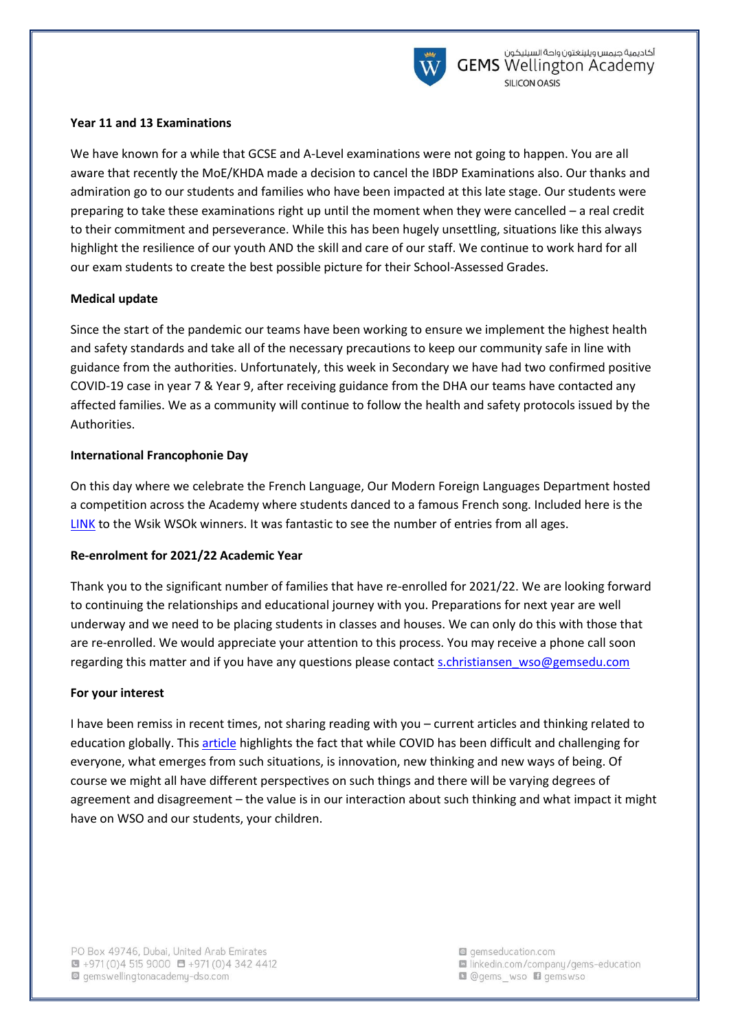

### **Year 11 and 13 Examinations**

We have known for a while that GCSE and A-Level examinations were not going to happen. You are all aware that recently the MoE/KHDA made a decision to cancel the IBDP Examinations also. Our thanks and admiration go to our students and families who have been impacted at this late stage. Our students were preparing to take these examinations right up until the moment when they were cancelled – a real credit to their commitment and perseverance. While this has been hugely unsettling, situations like this always highlight the resilience of our youth AND the skill and care of our staff. We continue to work hard for all our exam students to create the best possible picture for their School-Assessed Grades.

## **Medical update**

Since the start of the pandemic our teams have been working to ensure we implement the highest health and safety standards and take all of the necessary precautions to keep our community safe in line with guidance from the authorities. Unfortunately, this week in Secondary we have had two confirmed positive COVID-19 case in year 7 & Year 9, after receiving guidance from the DHA our teams have contacted any affected families. We as a community will continue to follow the health and safety protocols issued by the Authorities.

## **International Francophonie Day**

On this day where we celebrate the French Language, Our Modern Foreign Languages Department hosted a competition across the Academy where students danced to a famous French song. Included here is the [LINK](https://youtu.be/RsLM5zj0UT8) to the Wsik WSOk winners. It was fantastic to see the number of entries from all ages.

# **Re-enrolment for 2021/22 Academic Year**

Thank you to the significant number of families that have re-enrolled for 2021/22. We are looking forward to continuing the relationships and educational journey with you. Preparations for next year are well underway and we need to be placing students in classes and houses. We can only do this with those that are re-enrolled. We would appreciate your attention to this process. You may receive a phone call soon regarding this matter and if you have any questions please contact [s.christiansen\\_wso@gemsedu.com](mailto:s.christiansen_wso@gemsedu.com)

### **For your interest**

I have been remiss in recent times, not sharing reading with you – current articles and thinking related to education globally. This [article](https://www.weforum.org/agenda/2021/02/covid-19-pandemic-higher-education-online-resources-students-lecturers-learning-teaching?utm_source=twitter&utm_medium=social_scheduler&utm_term=COVID-19&utm_content=15/02/2021+14:00) highlights the fact that while COVID has been difficult and challenging for everyone, what emerges from such situations, is innovation, new thinking and new ways of being. Of course we might all have different perspectives on such things and there will be varying degrees of agreement and disagreement – the value is in our interaction about such thinking and what impact it might have on WSO and our students, your children.